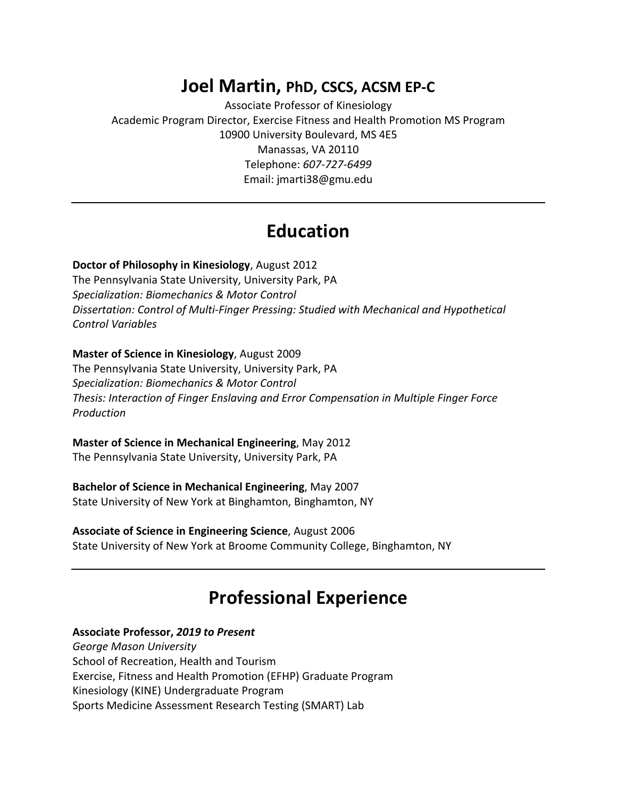# **Joel Martin, PhD, CSCS, ACSM EP-C**

Associate Professor of Kinesiology Academic Program Director, Exercise Fitness and Health Promotion MS Program 10900 University Boulevard, MS 4E5 Manassas, VA 20110 Telephone: *607-727-6499* Email: jmarti38@gmu.edu

# **Education**

### **Doctor of Philosophy in Kinesiology**, August 2012

The Pennsylvania State University, University Park, PA *Specialization: Biomechanics & Motor Control Dissertation: Control of Multi-Finger Pressing: Studied with Mechanical and Hypothetical Control Variables*

### **Master of Science in Kinesiology**, August 2009

The Pennsylvania State University, University Park, PA *Specialization: Biomechanics & Motor Control Thesis: Interaction of Finger Enslaving and Error Compensation in Multiple Finger Force Production*

## **Master of Science in Mechanical Engineering**, May 2012

The Pennsylvania State University, University Park, PA

## **Bachelor of Science in Mechanical Engineering**, May 2007

State University of New York at Binghamton, Binghamton, NY

## **Associate of Science in Engineering Science**, August 2006

State University of New York at Broome Community College, Binghamton, NY

# **Professional Experience**

## **Associate Professor,** *2019 to Present*

*George Mason University*  School of Recreation, Health and Tourism Exercise, Fitness and Health Promotion (EFHP) Graduate Program Kinesiology (KINE) Undergraduate Program Sports Medicine Assessment Research Testing (SMART) Lab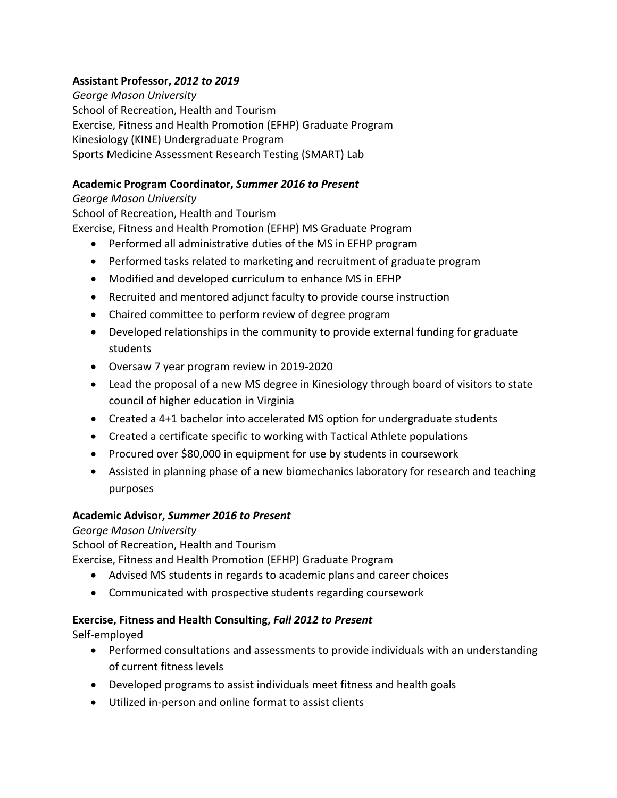## **Assistant Professor,** *2012 to 2019*

*George Mason University*  School of Recreation, Health and Tourism Exercise, Fitness and Health Promotion (EFHP) Graduate Program Kinesiology (KINE) Undergraduate Program Sports Medicine Assessment Research Testing (SMART) Lab

## **Academic Program Coordinator,** *Summer 2016 to Present*

## *George Mason University*

School of Recreation, Health and Tourism

Exercise, Fitness and Health Promotion (EFHP) MS Graduate Program

- Performed all administrative duties of the MS in EFHP program
- Performed tasks related to marketing and recruitment of graduate program
- Modified and developed curriculum to enhance MS in EFHP
- Recruited and mentored adjunct faculty to provide course instruction
- Chaired committee to perform review of degree program
- Developed relationships in the community to provide external funding for graduate students
- Oversaw 7 year program review in 2019-2020
- Lead the proposal of a new MS degree in Kinesiology through board of visitors to state council of higher education in Virginia
- Created a 4+1 bachelor into accelerated MS option for undergraduate students
- Created a certificate specific to working with Tactical Athlete populations
- Procured over \$80,000 in equipment for use by students in coursework
- Assisted in planning phase of a new biomechanics laboratory for research and teaching purposes

# **Academic Advisor,** *Summer 2016 to Present*

# *George Mason University*

School of Recreation, Health and Tourism

Exercise, Fitness and Health Promotion (EFHP) Graduate Program

- Advised MS students in regards to academic plans and career choices
- Communicated with prospective students regarding coursework

# **Exercise, Fitness and Health Consulting,** *Fall 2012 to Present*

Self-employed

- Performed consultations and assessments to provide individuals with an understanding of current fitness levels
- Developed programs to assist individuals meet fitness and health goals
- Utilized in-person and online format to assist clients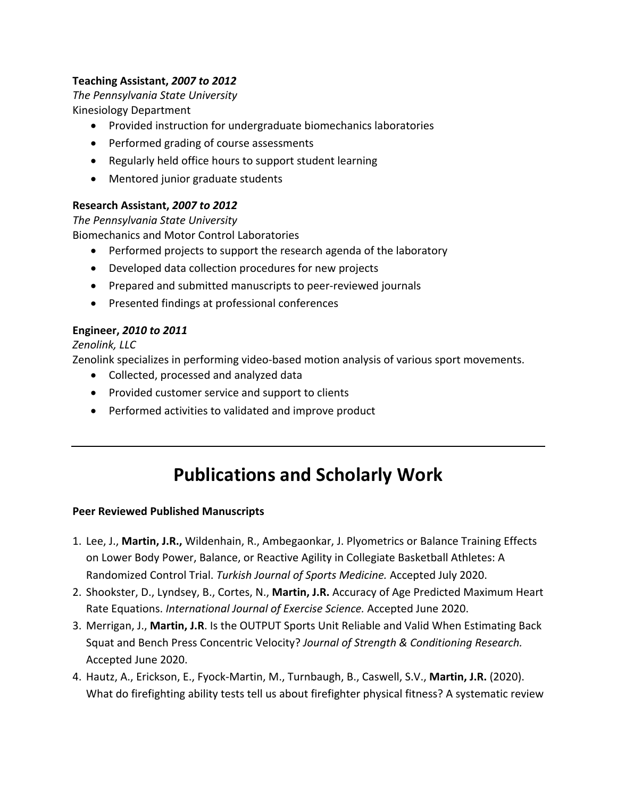# **Teaching Assistant,** *2007 to 2012*

*The Pennsylvania State University*  Kinesiology Department

- Provided instruction for undergraduate biomechanics laboratories
- Performed grading of course assessments
- Regularly held office hours to support student learning
- Mentored junior graduate students

## **Research Assistant,** *2007 to 2012*

*The Pennsylvania State University*  Biomechanics and Motor Control Laboratories

- Performed projects to support the research agenda of the laboratory
- Developed data collection procedures for new projects
- Prepared and submitted manuscripts to peer-reviewed journals
- Presented findings at professional conferences

## **Engineer,** *2010 to 2011*

## *Zenolink, LLC*

Zenolink specializes in performing video-based motion analysis of various sport movements.

- Collected, processed and analyzed data
- Provided customer service and support to clients
- Performed activities to validated and improve product

# **Publications and Scholarly Work**

## **Peer Reviewed Published Manuscripts**

- 1. Lee, J., **Martin, J.R.,** Wildenhain, R., Ambegaonkar, J. Plyometrics or Balance Training Effects on Lower Body Power, Balance, or Reactive Agility in Collegiate Basketball Athletes: A Randomized Control Trial. *Turkish Journal of Sports Medicine.* Accepted July 2020.
- 2. Shookster, D., Lyndsey, B., Cortes, N., **Martin, J.R.** Accuracy of Age Predicted Maximum Heart Rate Equations. *International Journal of Exercise Science.* Accepted June 2020.
- 3. Merrigan, J., **Martin, J.R**. Is the OUTPUT Sports Unit Reliable and Valid When Estimating Back Squat and Bench Press Concentric Velocity? *Journal of Strength & Conditioning Research.* Accepted June 2020.
- 4. Hautz, A., Erickson, E., Fyock-Martin, M., Turnbaugh, B., Caswell, S.V., **Martin, J.R.** (2020). What do firefighting ability tests tell us about firefighter physical fitness? A systematic review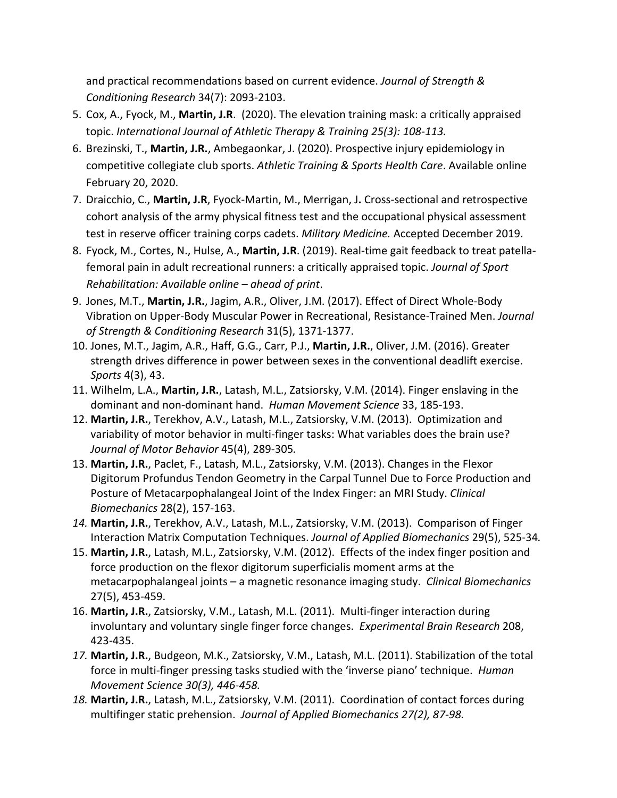and practical recommendations based on current evidence. *Journal of Strength & Conditioning Research* 34(7): 2093-2103.

- 5. Cox, A., Fyock, M., **Martin, J.R**. (2020). The elevation training mask: a critically appraised topic. *International Journal of Athletic Therapy & Training 25(3): 108-113.*
- 6. Brezinski, T., **Martin, J.R.**, Ambegaonkar, J. (2020). Prospective injury epidemiology in competitive collegiate club sports. *Athletic Training & Sports Health Care*. Available online February 20, 2020.
- 7. Draicchio, C., **Martin, J.R**, Fyock-Martin, M., Merrigan, J**.** Cross-sectional and retrospective cohort analysis of the army physical fitness test and the occupational physical assessment test in reserve officer training corps cadets. *Military Medicine.* Accepted December 2019.
- 8. Fyock, M., Cortes, N., Hulse, A., **Martin, J.R**. (2019). Real-time gait feedback to treat patellafemoral pain in adult recreational runners: a critically appraised topic. *Journal of Sport Rehabilitation: Available online – ahead of print*.
- 9. Jones, M.T., **Martin, J.R.**, Jagim, A.R., Oliver, J.M. (2017). Effect of Direct Whole-Body Vibration on Upper-Body Muscular Power in Recreational, Resistance-Trained Men. *Journal of Strength & Conditioning Research* 31(5), 1371-1377.
- 10. Jones, M.T., Jagim, A.R., Haff, G.G., Carr, P.J., **Martin, J.R.**, Oliver, J.M. (2016). Greater strength drives difference in power between sexes in the conventional deadlift exercise. *Sports* 4(3), 43.
- 11. Wilhelm, L.A., **Martin, J.R.**, Latash, M.L., Zatsiorsky, V.M. (2014). Finger enslaving in the dominant and non-dominant hand. *Human Movement Science* 33, 185-193.
- 12. **Martin, J.R.**, Terekhov, A.V., Latash, M.L., Zatsiorsky, V.M. (2013). Optimization and variability of motor behavior in multi-finger tasks: What variables does the brain use? *Journal of Motor Behavior* 45(4), 289-305*.*
- 13. **Martin, J.R.**, Paclet, F., Latash, M.L., Zatsiorsky, V.M. (2013). Changes in the Flexor Digitorum Profundus Tendon Geometry in the Carpal Tunnel Due to Force Production and Posture of Metacarpophalangeal Joint of the Index Finger: an MRI Study. *Clinical Biomechanics* 28(2), 157-163.
- *14.* **Martin, J.R.**, Terekhov, A.V., Latash, M.L., Zatsiorsky, V.M. (2013). Comparison of Finger Interaction Matrix Computation Techniques. *Journal of Applied Biomechanics* 29(5), 525-34*.*
- 15. **Martin, J.R.**, Latash, M.L., Zatsiorsky, V.M. (2012). Effects of the index finger position and force production on the flexor digitorum superficialis moment arms at the metacarpophalangeal joints – a magnetic resonance imaging study. *Clinical Biomechanics*  27(5), 453-459.
- 16. **Martin, J.R.**, Zatsiorsky, V.M., Latash, M.L. (2011). Multi-finger interaction during involuntary and voluntary single finger force changes. *Experimental Brain Research* 208, 423-435.
- *17.* **Martin, J.R.**, Budgeon, M.K., Zatsiorsky, V.M., Latash, M.L. (2011). Stabilization of the total force in multi-finger pressing tasks studied with the 'inverse piano' technique. *Human Movement Science 30(3), 446-458.*
- *18.* **Martin, J.R.**, Latash, M.L., Zatsiorsky, V.M. (2011). Coordination of contact forces during multifinger static prehension. *Journal of Applied Biomechanics 27(2), 87-98.*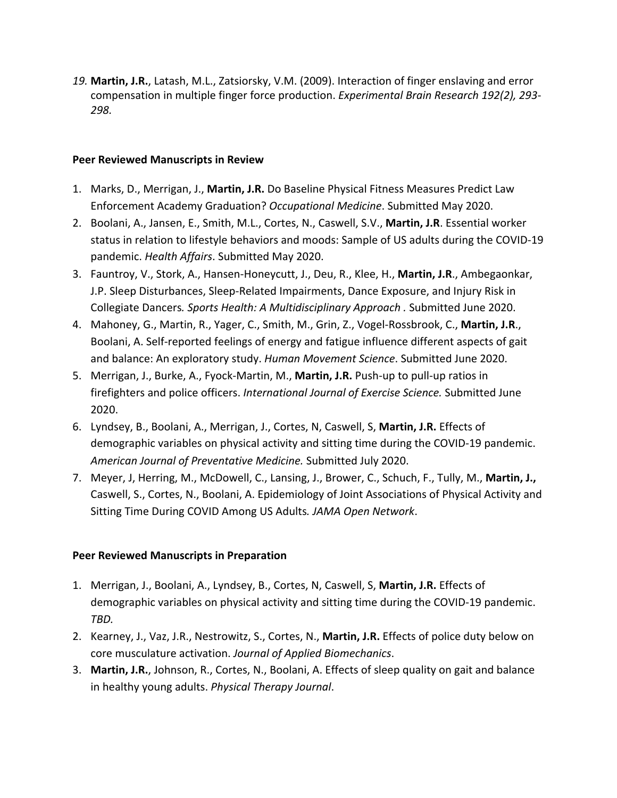*19.* **Martin, J.R.**, Latash, M.L., Zatsiorsky, V.M. (2009). Interaction of finger enslaving and error compensation in multiple finger force production. *Experimental Brain Research 192(2), 293- 298.*

### **Peer Reviewed Manuscripts in Review**

- 1. Marks, D., Merrigan, J., **Martin, J.R.** Do Baseline Physical Fitness Measures Predict Law Enforcement Academy Graduation? *Occupational Medicine*. Submitted May 2020.
- 2. Boolani, A., Jansen, E., Smith, M.L., Cortes, N., Caswell, S.V., **Martin, J.R**. Essential worker status in relation to lifestyle behaviors and moods: Sample of US adults during the COVID-19 pandemic. *Health Affairs*. Submitted May 2020.
- 3. Fauntroy, V., Stork, A., Hansen-Honeycutt, J., Deu, R., Klee, H., **Martin, J.R**., Ambegaonkar, J.P. Sleep Disturbances, Sleep-Related Impairments, Dance Exposure, and Injury Risk in Collegiate Dancers*. Sports Health: A Multidisciplinary Approach .* Submitted June 2020.
- 4. Mahoney, G., Martin, R., Yager, C., Smith, M., Grin, Z., Vogel-Rossbrook, C., **Martin, J.R**., Boolani, A. Self-reported feelings of energy and fatigue influence different aspects of gait and balance: An exploratory study. *Human Movement Science*. Submitted June 2020.
- 5. Merrigan, J., Burke, A., Fyock-Martin, M., **Martin, J.R.** Push-up to pull-up ratios in firefighters and police officers. *International Journal of Exercise Science.* Submitted June 2020.
- 6. Lyndsey, B., Boolani, A., Merrigan, J., Cortes, N, Caswell, S, **Martin, J.R.** Effects of demographic variables on physical activity and sitting time during the COVID-19 pandemic. *American Journal of Preventative Medicine.* Submitted July 2020.
- 7. Meyer, J, Herring, M., McDowell, C., Lansing, J., Brower, C., Schuch, F., Tully, M., **Martin, J.,** Caswell, S., Cortes, N., Boolani, A. Epidemiology of Joint Associations of Physical Activity and Sitting Time During COVID Among US Adults*. JAMA Open Network*.

## **Peer Reviewed Manuscripts in Preparation**

- 1. Merrigan, J., Boolani, A., Lyndsey, B., Cortes, N, Caswell, S, **Martin, J.R.** Effects of demographic variables on physical activity and sitting time during the COVID-19 pandemic. *TBD.*
- 2. Kearney, J., Vaz, J.R., Nestrowitz, S., Cortes, N., **Martin, J.R.** Effects of police duty below on core musculature activation. *Journal of Applied Biomechanics*.
- 3. **Martin, J.R.**, Johnson, R., Cortes, N., Boolani, A. Effects of sleep quality on gait and balance in healthy young adults. *Physical Therapy Journal*.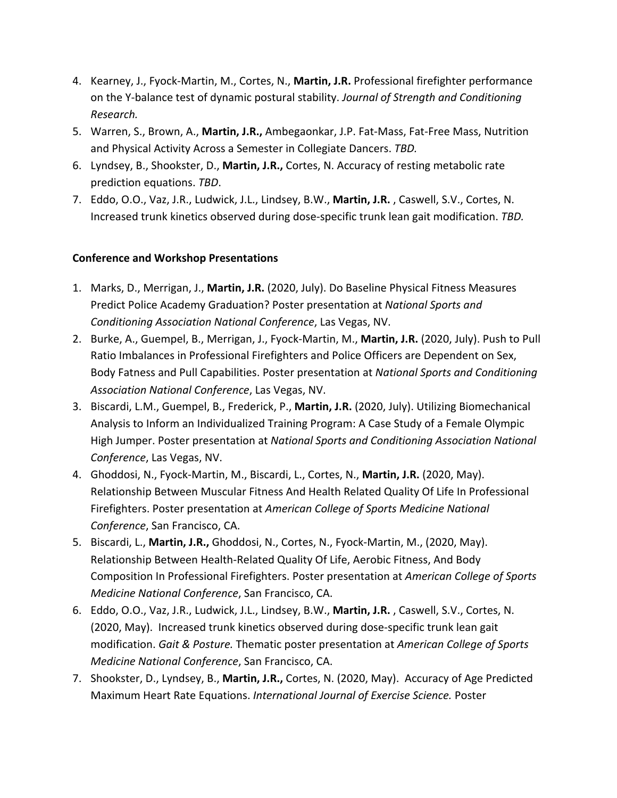- 4. Kearney, J., Fyock-Martin, M., Cortes, N., **Martin, J.R.** Professional firefighter performance on the Y-balance test of dynamic postural stability. *Journal of Strength and Conditioning Research.*
- 5. Warren, S., Brown, A., **Martin, J.R.,** Ambegaonkar, J.P. Fat-Mass, Fat-Free Mass, Nutrition and Physical Activity Across a Semester in Collegiate Dancers. *TBD.*
- 6. Lyndsey, B., Shookster, D., **Martin, J.R.,** Cortes, N. Accuracy of resting metabolic rate prediction equations. *TBD*.
- 7. Eddo, O.O., Vaz, J.R., Ludwick, J.L., Lindsey, B.W., **Martin, J.R.** , Caswell, S.V., Cortes, N. Increased trunk kinetics observed during dose-specific trunk lean gait modification. *TBD.*

## **Conference and Workshop Presentations**

- 1. Marks, D., Merrigan, J., **Martin, J.R.** (2020, July). Do Baseline Physical Fitness Measures Predict Police Academy Graduation? Poster presentation at *National Sports and Conditioning Association National Conference*, Las Vegas, NV.
- 2. Burke, A., Guempel, B., Merrigan, J., Fyock-Martin, M., **Martin, J.R.** (2020, July). Push to Pull Ratio Imbalances in Professional Firefighters and Police Officers are Dependent on Sex, Body Fatness and Pull Capabilities. Poster presentation at *National Sports and Conditioning Association National Conference*, Las Vegas, NV.
- 3. Biscardi, L.M., Guempel, B., Frederick, P., **Martin, J.R.** (2020, July). Utilizing Biomechanical Analysis to Inform an Individualized Training Program: A Case Study of a Female Olympic High Jumper. Poster presentation at *National Sports and Conditioning Association National Conference*, Las Vegas, NV.
- 4. Ghoddosi, N., Fyock-Martin, M., Biscardi, L., Cortes, N., **Martin, J.R.** (2020, May). Relationship Between Muscular Fitness And Health Related Quality Of Life In Professional Firefighters. Poster presentation at *American College of Sports Medicine National Conference*, San Francisco, CA.
- 5. Biscardi, L., **Martin, J.R.,** Ghoddosi, N., Cortes, N., Fyock-Martin, M., (2020, May). Relationship Between Health-Related Quality Of Life, Aerobic Fitness, And Body Composition In Professional Firefighters. Poster presentation at *American College of Sports Medicine National Conference*, San Francisco, CA.
- 6. Eddo, O.O., Vaz, J.R., Ludwick, J.L., Lindsey, B.W., **Martin, J.R.** , Caswell, S.V., Cortes, N. (2020, May). Increased trunk kinetics observed during dose-specific trunk lean gait modification. *Gait & Posture.* Thematic poster presentation at *American College of Sports Medicine National Conference*, San Francisco, CA.
- 7. Shookster, D., Lyndsey, B., **Martin, J.R.,** Cortes, N. (2020, May). Accuracy of Age Predicted Maximum Heart Rate Equations. *International Journal of Exercise Science.* Poster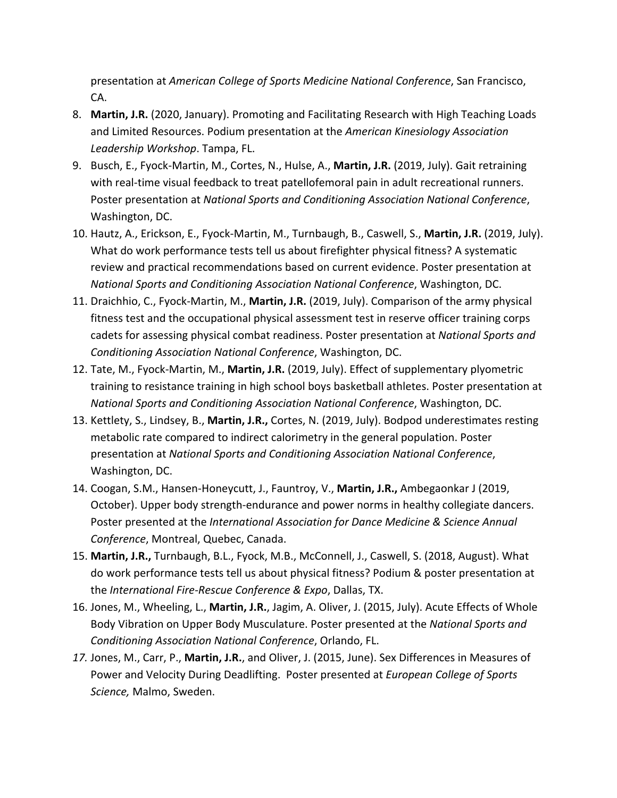presentation at *American College of Sports Medicine National Conference*, San Francisco, CA.

- 8. **Martin, J.R.** (2020, January). Promoting and Facilitating Research with High Teaching Loads and Limited Resources. Podium presentation at the *American Kinesiology Association Leadership Workshop*. Tampa, FL.
- 9. Busch, E., Fyock-Martin, M., Cortes, N., Hulse, A., **Martin, J.R.** (2019, July). Gait retraining with real-time visual feedback to treat patellofemoral pain in adult recreational runners. Poster presentation at *National Sports and Conditioning Association National Conference*, Washington, DC.
- 10. Hautz, A., Erickson, E., Fyock-Martin, M., Turnbaugh, B., Caswell, S., **Martin, J.R.** (2019, July). What do work performance tests tell us about firefighter physical fitness? A systematic review and practical recommendations based on current evidence. Poster presentation at *National Sports and Conditioning Association National Conference*, Washington, DC.
- 11. Draichhio, C., Fyock-Martin, M., **Martin, J.R.** (2019, July). Comparison of the army physical fitness test and the occupational physical assessment test in reserve officer training corps cadets for assessing physical combat readiness. Poster presentation at *National Sports and Conditioning Association National Conference*, Washington, DC.
- 12. Tate, M., Fyock-Martin, M., **Martin, J.R.** (2019, July). Effect of supplementary plyometric training to resistance training in high school boys basketball athletes. Poster presentation at *National Sports and Conditioning Association National Conference*, Washington, DC.
- 13. Kettlety, S., Lindsey, B., **Martin, J.R.,** Cortes, N. (2019, July). Bodpod underestimates resting metabolic rate compared to indirect calorimetry in the general population. Poster presentation at *National Sports and Conditioning Association National Conference*, Washington, DC.
- 14. Coogan, S.M., Hansen-Honeycutt, J., Fauntroy, V., **Martin, J.R.,** Ambegaonkar J (2019, October). Upper body strength-endurance and power norms in healthy collegiate dancers. Poster presented at the *International Association for Dance Medicine & Science Annual Conference*, Montreal, Quebec, Canada.
- 15. **Martin, J.R.,** Turnbaugh, B.L., Fyock, M.B., McConnell, J., Caswell, S. (2018, August). What do work performance tests tell us about physical fitness? Podium & poster presentation at the *International Fire-Rescue Conference & Expo*, Dallas, TX.
- 16. Jones, M., Wheeling, L., **Martin, J.R.**, Jagim, A. Oliver, J. (2015, July). Acute Effects of Whole Body Vibration on Upper Body Musculature. Poster presented at the *National Sports and Conditioning Association National Conference*, Orlando, FL.
- *17.* Jones, M., Carr, P., **Martin, J.R.**, and Oliver, J. (2015, June). Sex Differences in Measures of Power and Velocity During Deadlifting. Poster presented at *European College of Sports Science,* Malmo, Sweden.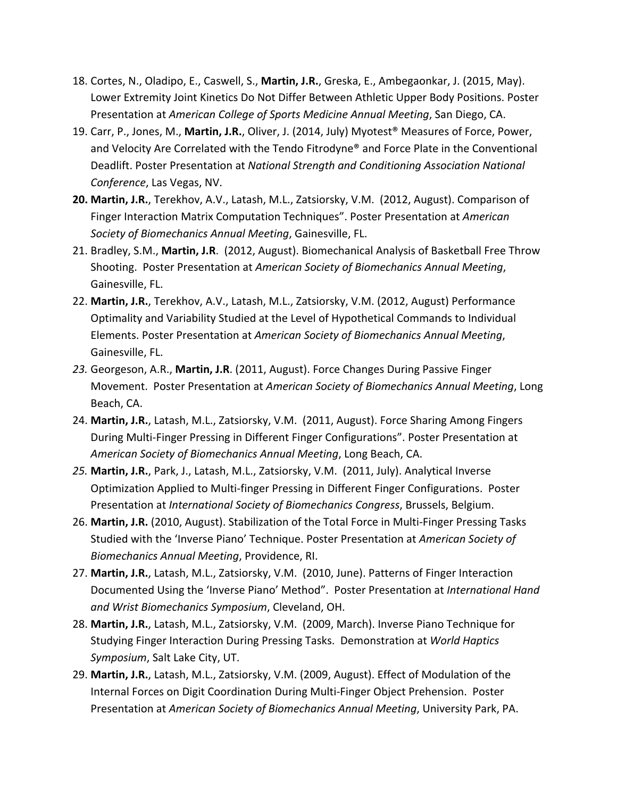- 18. Cortes, N., Oladipo, E., Caswell, S., **Martin, J.R.**, Greska, E., Ambegaonkar, J. (2015, May). Lower Extremity Joint Kinetics Do Not Differ Between Athletic Upper Body Positions. Poster Presentation at *American College of Sports Medicine Annual Meeting*, San Diego, CA.
- 19. Carr, P., Jones, M., **Martin, J.R.**, Oliver, J. (2014, July) Myotest® Measures of Force, Power, and Velocity Are Correlated with the Tendo Fitrodyne® and Force Plate in the Conventional Deadlift. Poster Presentation at *National Strength and Conditioning Association National Conference*, Las Vegas, NV.
- **20. Martin, J.R.**, Terekhov, A.V., Latash, M.L., Zatsiorsky, V.M. (2012, August). Comparison of Finger Interaction Matrix Computation Techniques". Poster Presentation at *American Society of Biomechanics Annual Meeting*, Gainesville, FL.
- 21. Bradley, S.M., **Martin, J.R**. (2012, August). Biomechanical Analysis of Basketball Free Throw Shooting. Poster Presentation at *American Society of Biomechanics Annual Meeting*, Gainesville, FL.
- 22. **Martin, J.R.**, Terekhov, A.V., Latash, M.L., Zatsiorsky, V.M. (2012, August) Performance Optimality and Variability Studied at the Level of Hypothetical Commands to Individual Elements. Poster Presentation at *American Society of Biomechanics Annual Meeting*, Gainesville, FL.
- *23.* Georgeson, A.R., **Martin, J.R**. (2011, August). Force Changes During Passive Finger Movement. Poster Presentation at *American Society of Biomechanics Annual Meeting*, Long Beach, CA.
- 24. **Martin, J.R.**, Latash, M.L., Zatsiorsky, V.M. (2011, August). Force Sharing Among Fingers During Multi-Finger Pressing in Different Finger Configurations". Poster Presentation at *American Society of Biomechanics Annual Meeting*, Long Beach, CA.
- *25.* **Martin, J.R.**, Park, J., Latash, M.L., Zatsiorsky, V.M. (2011, July). Analytical Inverse Optimization Applied to Multi-finger Pressing in Different Finger Configurations. Poster Presentation at *International Society of Biomechanics Congress*, Brussels, Belgium.
- 26. **Martin, J.R.** (2010, August). Stabilization of the Total Force in Multi-Finger Pressing Tasks Studied with the 'Inverse Piano' Technique. Poster Presentation at *American Society of Biomechanics Annual Meeting*, Providence, RI.
- 27. **Martin, J.R.**, Latash, M.L., Zatsiorsky, V.M. (2010, June). Patterns of Finger Interaction Documented Using the 'Inverse Piano' Method". Poster Presentation at *International Hand and Wrist Biomechanics Symposium*, Cleveland, OH.
- 28. **Martin, J.R.**, Latash, M.L., Zatsiorsky, V.M. (2009, March). Inverse Piano Technique for Studying Finger Interaction During Pressing Tasks. Demonstration at *World Haptics Symposium*, Salt Lake City, UT.
- 29. **Martin, J.R.**, Latash, M.L., Zatsiorsky, V.M. (2009, August). Effect of Modulation of the Internal Forces on Digit Coordination During Multi-Finger Object Prehension. Poster Presentation at *American Society of Biomechanics Annual Meeting*, University Park, PA.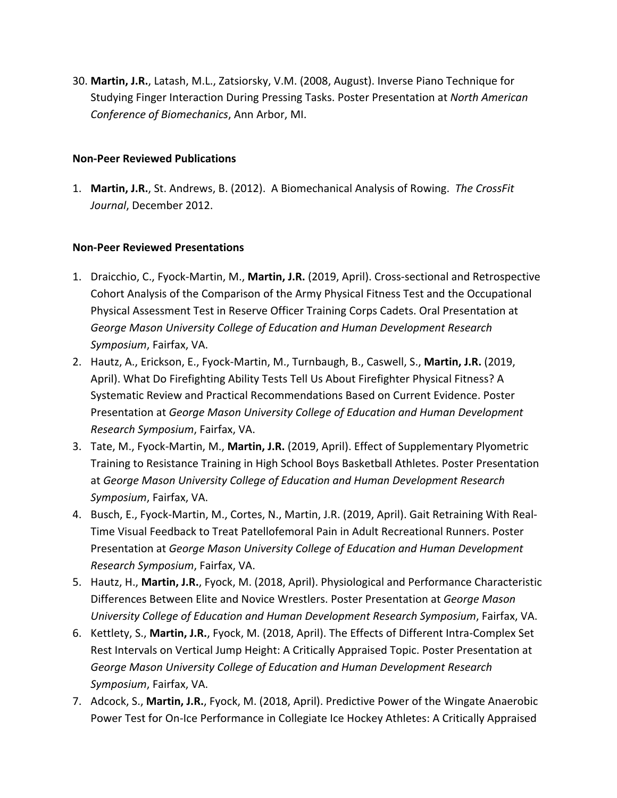30. **Martin, J.R.**, Latash, M.L., Zatsiorsky, V.M. (2008, August). Inverse Piano Technique for Studying Finger Interaction During Pressing Tasks. Poster Presentation at *North American Conference of Biomechanics*, Ann Arbor, MI.

## **Non-Peer Reviewed Publications**

1. **Martin, J.R.**, St. Andrews, B. (2012). A Biomechanical Analysis of Rowing. *The CrossFit Journal*, December 2012.

## **Non-Peer Reviewed Presentations**

- 1. Draicchio, C., Fyock-Martin, M., **Martin, J.R.** (2019, April). Cross-sectional and Retrospective Cohort Analysis of the Comparison of the Army Physical Fitness Test and the Occupational Physical Assessment Test in Reserve Officer Training Corps Cadets. Oral Presentation at *George Mason University College of Education and Human Development Research Symposium*, Fairfax, VA.
- 2. Hautz, A., Erickson, E., Fyock-Martin, M., Turnbaugh, B., Caswell, S., **Martin, J.R.** (2019, April). What Do Firefighting Ability Tests Tell Us About Firefighter Physical Fitness? A Systematic Review and Practical Recommendations Based on Current Evidence. Poster Presentation at *George Mason University College of Education and Human Development Research Symposium*, Fairfax, VA.
- 3. Tate, M., Fyock-Martin, M., **Martin, J.R.** (2019, April). Effect of Supplementary Plyometric Training to Resistance Training in High School Boys Basketball Athletes. Poster Presentation at *George Mason University College of Education and Human Development Research Symposium*, Fairfax, VA.
- 4. Busch, E., Fyock-Martin, M., Cortes, N., Martin, J.R. (2019, April). Gait Retraining With Real-Time Visual Feedback to Treat Patellofemoral Pain in Adult Recreational Runners. Poster Presentation at *George Mason University College of Education and Human Development Research Symposium*, Fairfax, VA.
- 5. Hautz, H., **Martin, J.R.**, Fyock, M. (2018, April). Physiological and Performance Characteristic Differences Between Elite and Novice Wrestlers. Poster Presentation at *George Mason University College of Education and Human Development Research Symposium*, Fairfax, VA.
- 6. Kettlety, S., **Martin, J.R.**, Fyock, M. (2018, April). The Effects of Different Intra-Complex Set Rest Intervals on Vertical Jump Height: A Critically Appraised Topic. Poster Presentation at *George Mason University College of Education and Human Development Research Symposium*, Fairfax, VA.
- 7. Adcock, S., **Martin, J.R.**, Fyock, M. (2018, April). Predictive Power of the Wingate Anaerobic Power Test for On-Ice Performance in Collegiate Ice Hockey Athletes: A Critically Appraised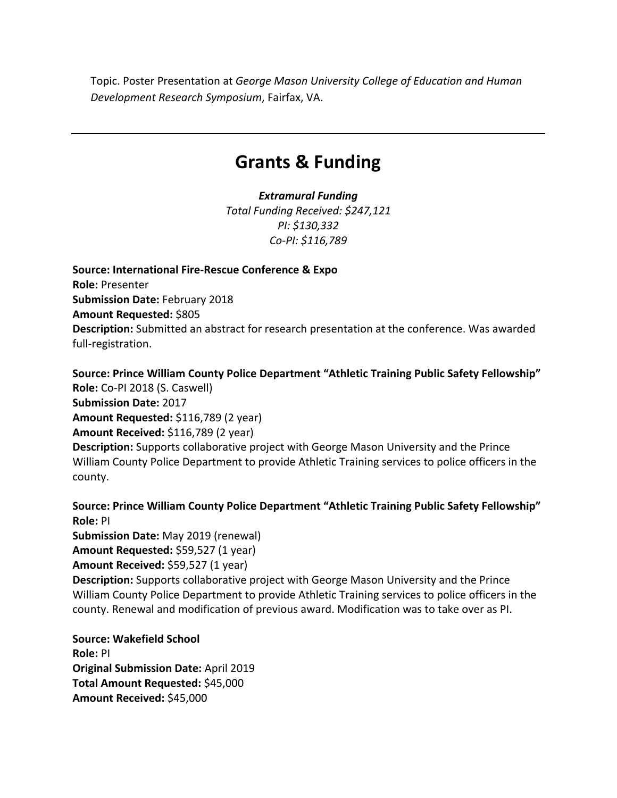Topic. Poster Presentation at *George Mason University College of Education and Human Development Research Symposium*, Fairfax, VA.

# **Grants & Funding**

*Extramural Funding Total Funding Received: \$247,121 PI: \$130,332 Co-PI: \$116,789*

**Source: International Fire-Rescue Conference & Expo Role:** Presenter **Submission Date:** February 2018 **Amount Requested:** \$805 **Description:** Submitted an abstract for research presentation at the conference. Was awarded full-registration.

**Source: Prince William County Police Department "Athletic Training Public Safety Fellowship" Role:** Co-PI 2018 (S. Caswell) **Submission Date:** 2017 **Amount Requested:** \$116,789 (2 year) **Amount Received:** \$116,789 (2 year) **Description:** Supports collaborative project with George Mason University and the Prince William County Police Department to provide Athletic Training services to police officers in the county.

**Source: Prince William County Police Department "Athletic Training Public Safety Fellowship" Role:** PI **Submission Date:** May 2019 (renewal) **Amount Requested:** \$59,527 (1 year) **Amount Received:** \$59,527 (1 year) **Description:** Supports collaborative project with George Mason University and the Prince William County Police Department to provide Athletic Training services to police officers in the county. Renewal and modification of previous award. Modification was to take over as PI.

**Source: Wakefield School Role:** PI **Original Submission Date:** April 2019 **Total Amount Requested:** \$45,000 **Amount Received:** \$45,000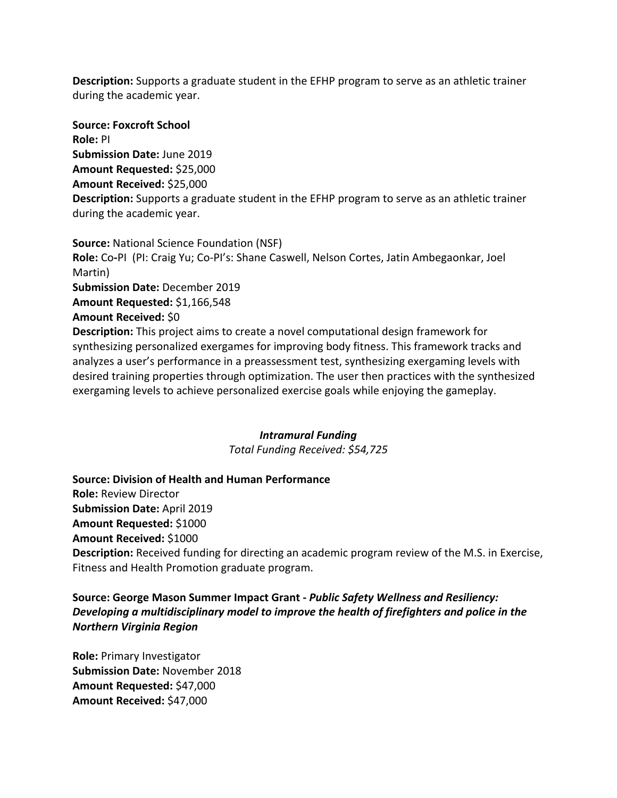**Description:** Supports a graduate student in the EFHP program to serve as an athletic trainer during the academic year.

**Source: Foxcroft School Role:** PI **Submission Date:** June 2019 **Amount Requested:** \$25,000 **Amount Received:** \$25,000 **Description:** Supports a graduate student in the EFHP program to serve as an athletic trainer during the academic year.

**Source:** National Science Foundation (NSF) **Role:** Co**-**PI (PI: Craig Yu; Co-PI's: Shane Caswell, Nelson Cortes, Jatin Ambegaonkar, Joel Martin) **Submission Date:** December 2019 **Amount Requested:** \$1,166,548 **Amount Received:** \$0 **Description:** This project aims to create a novel computational design framework for synthesizing personalized exergames for improving body fitness. This framework tracks and analyzes a user's performance in a preassessment test, synthesizing exergaming levels with desired training properties through optimization. The user then practices with the synthesized exergaming levels to achieve personalized exercise goals while enjoying the gameplay.

# *Intramural Funding*

*Total Funding Received: \$54,725*

**Source: Division of Health and Human Performance Role:** Review Director **Submission Date:** April 2019 **Amount Requested:** \$1000 **Amount Received:** \$1000 **Description:** Received funding for directing an academic program review of the M.S. in Exercise, Fitness and Health Promotion graduate program.

**Source: George Mason Summer Impact Grant -** *Public Safety Wellness and Resiliency: Developing a multidisciplinary model to improve the health of firefighters and police in the Northern Virginia Region*

**Role:** Primary Investigator **Submission Date:** November 2018 **Amount Requested:** \$47,000 **Amount Received:** \$47,000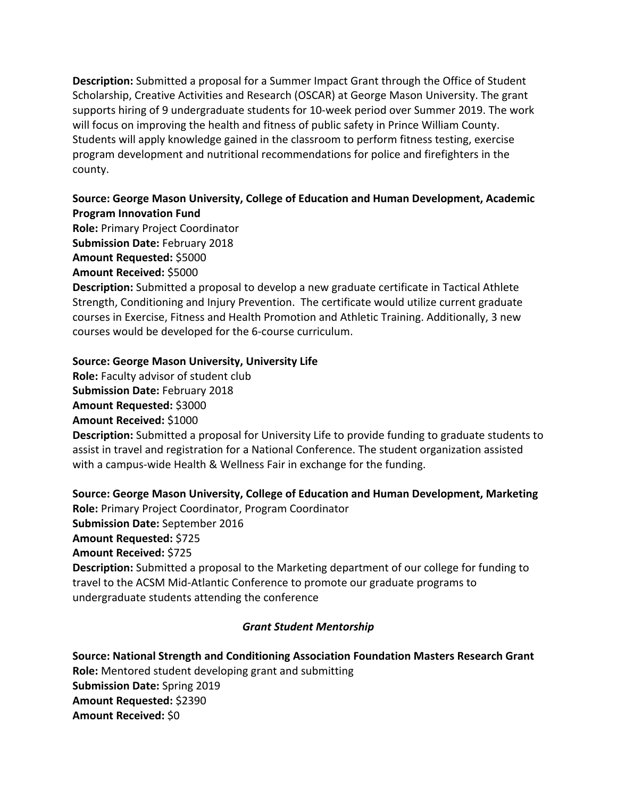**Description:** Submitted a proposal for a Summer Impact Grant through the Office of Student Scholarship, Creative Activities and Research (OSCAR) at George Mason University. The grant supports hiring of 9 undergraduate students for 10-week period over Summer 2019. The work will focus on improving the health and fitness of public safety in Prince William County. Students will apply knowledge gained in the classroom to perform fitness testing, exercise program development and nutritional recommendations for police and firefighters in the county.

# **Source: George Mason University, College of Education and Human Development, Academic Program Innovation Fund**

**Role:** Primary Project Coordinator

**Submission Date:** February 2018

**Amount Requested:** \$5000

**Amount Received:** \$5000

**Description:** Submitted a proposal to develop a new graduate certificate in Tactical Athlete Strength, Conditioning and Injury Prevention. The certificate would utilize current graduate courses in Exercise, Fitness and Health Promotion and Athletic Training. Additionally, 3 new courses would be developed for the 6-course curriculum.

# **Source: George Mason University, University Life**

**Role:** Faculty advisor of student club **Submission Date:** February 2018 **Amount Requested:** \$3000 **Amount Received:** \$1000

**Description:** Submitted a proposal for University Life to provide funding to graduate students to assist in travel and registration for a National Conference. The student organization assisted with a campus-wide Health & Wellness Fair in exchange for the funding.

**Source: George Mason University, College of Education and Human Development, Marketing Role:** Primary Project Coordinator, Program Coordinator **Submission Date:** September 2016 **Amount Requested:** \$725 **Amount Received:** \$725 **Description:** Submitted a proposal to the Marketing department of our college for funding to travel to the ACSM Mid-Atlantic Conference to promote our graduate programs to undergraduate students attending the conference

# *Grant Student Mentorship*

**Source: National Strength and Conditioning Association Foundation Masters Research Grant Role:** Mentored student developing grant and submitting **Submission Date:** Spring 2019 **Amount Requested:** \$2390 **Amount Received:** \$0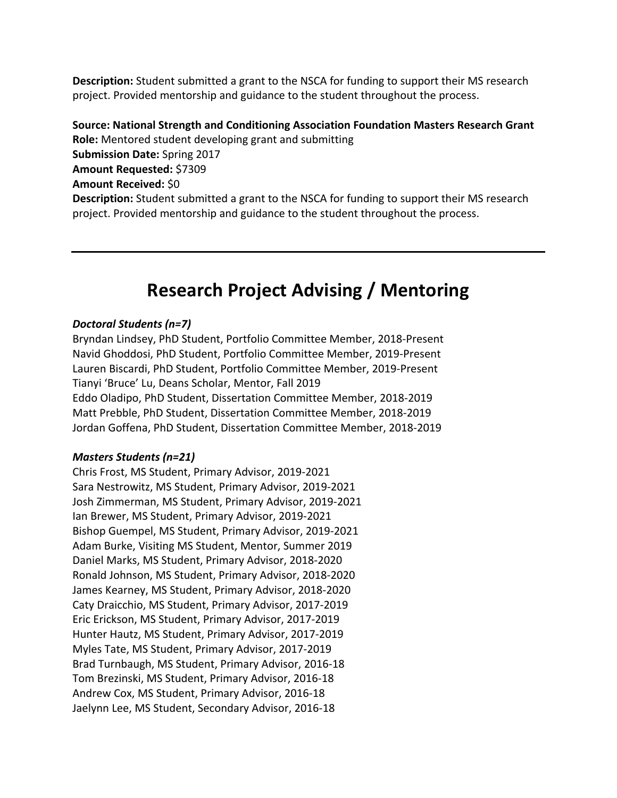**Description:** Student submitted a grant to the NSCA for funding to support their MS research project. Provided mentorship and guidance to the student throughout the process.

**Source: National Strength and Conditioning Association Foundation Masters Research Grant Role:** Mentored student developing grant and submitting **Submission Date:** Spring 2017 **Amount Requested:** \$7309 **Amount Received:** \$0 **Description:** Student submitted a grant to the NSCA for funding to support their MS research project. Provided mentorship and guidance to the student throughout the process.

# **Research Project Advising / Mentoring**

### *Doctoral Students (n=7)*

Bryndan Lindsey, PhD Student, Portfolio Committee Member, 2018-Present Navid Ghoddosi, PhD Student, Portfolio Committee Member, 2019-Present Lauren Biscardi, PhD Student, Portfolio Committee Member, 2019-Present Tianyi 'Bruce' Lu, Deans Scholar, Mentor, Fall 2019 Eddo Oladipo, PhD Student, Dissertation Committee Member, 2018-2019 Matt Prebble, PhD Student, Dissertation Committee Member, 2018-2019 Jordan Goffena, PhD Student, Dissertation Committee Member, 2018-2019

### *Masters Students (n=21)*

Chris Frost, MS Student, Primary Advisor, 2019-2021 Sara Nestrowitz, MS Student, Primary Advisor, 2019-2021 Josh Zimmerman, MS Student, Primary Advisor, 2019-2021 Ian Brewer, MS Student, Primary Advisor, 2019-2021 Bishop Guempel, MS Student, Primary Advisor, 2019-2021 Adam Burke, Visiting MS Student, Mentor, Summer 2019 Daniel Marks, MS Student, Primary Advisor, 2018-2020 Ronald Johnson, MS Student, Primary Advisor, 2018-2020 James Kearney, MS Student, Primary Advisor, 2018-2020 Caty Draicchio, MS Student, Primary Advisor, 2017-2019 Eric Erickson, MS Student, Primary Advisor, 2017-2019 Hunter Hautz, MS Student, Primary Advisor, 2017-2019 Myles Tate, MS Student, Primary Advisor, 2017-2019 Brad Turnbaugh, MS Student, Primary Advisor, 2016-18 Tom Brezinski, MS Student, Primary Advisor, 2016-18 Andrew Cox, MS Student, Primary Advisor, 2016-18 Jaelynn Lee, MS Student, Secondary Advisor, 2016-18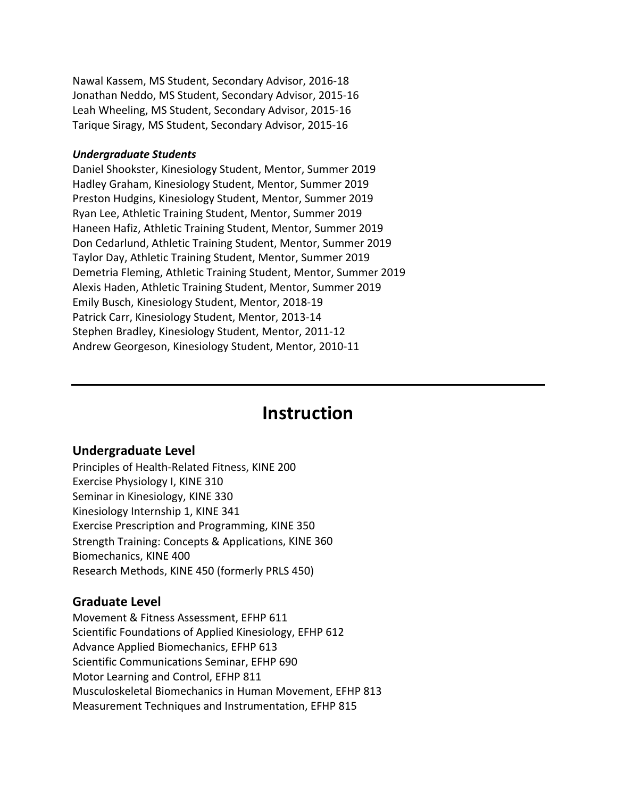Nawal Kassem, MS Student, Secondary Advisor, 2016-18 Jonathan Neddo, MS Student, Secondary Advisor, 2015-16 Leah Wheeling, MS Student, Secondary Advisor, 2015-16 Tarique Siragy, MS Student, Secondary Advisor, 2015-16

### *Undergraduate Students*

Daniel Shookster, Kinesiology Student, Mentor, Summer 2019 Hadley Graham, Kinesiology Student, Mentor, Summer 2019 Preston Hudgins, Kinesiology Student, Mentor, Summer 2019 Ryan Lee, Athletic Training Student, Mentor, Summer 2019 Haneen Hafiz, Athletic Training Student, Mentor, Summer 2019 Don Cedarlund, Athletic Training Student, Mentor, Summer 2019 Taylor Day, Athletic Training Student, Mentor, Summer 2019 Demetria Fleming, Athletic Training Student, Mentor, Summer 2019 Alexis Haden, Athletic Training Student, Mentor, Summer 2019 Emily Busch, Kinesiology Student, Mentor, 2018-19 Patrick Carr, Kinesiology Student, Mentor, 2013-14 Stephen Bradley, Kinesiology Student, Mentor, 2011-12 Andrew Georgeson, Kinesiology Student, Mentor, 2010-11

# **Instruction**

### **Undergraduate Level**

Principles of Health-Related Fitness, KINE 200 Exercise Physiology I, KINE 310 Seminar in Kinesiology, KINE 330 Kinesiology Internship 1, KINE 341 Exercise Prescription and Programming, KINE 350 Strength Training: Concepts & Applications, KINE 360 Biomechanics, KINE 400 Research Methods, KINE 450 (formerly PRLS 450)

## **Graduate Level**

Movement & Fitness Assessment, EFHP 611 Scientific Foundations of Applied Kinesiology, EFHP 612 Advance Applied Biomechanics, EFHP 613 Scientific Communications Seminar, EFHP 690 Motor Learning and Control, EFHP 811 Musculoskeletal Biomechanics in Human Movement, EFHP 813 Measurement Techniques and Instrumentation, EFHP 815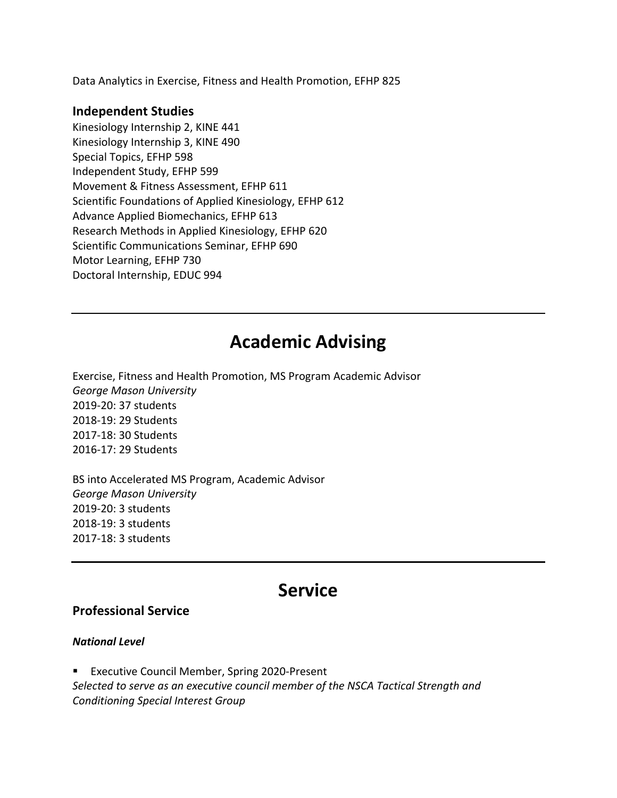Data Analytics in Exercise, Fitness and Health Promotion, EFHP 825

## **Independent Studies**

Kinesiology Internship 2, KINE 441 Kinesiology Internship 3, KINE 490 Special Topics, EFHP 598 Independent Study, EFHP 599 Movement & Fitness Assessment, EFHP 611 Scientific Foundations of Applied Kinesiology, EFHP 612 Advance Applied Biomechanics, EFHP 613 Research Methods in Applied Kinesiology, EFHP 620 Scientific Communications Seminar, EFHP 690 Motor Learning, EFHP 730 Doctoral Internship, EDUC 994

# **Academic Advising**

Exercise, Fitness and Health Promotion, MS Program Academic Advisor *George Mason University* 2019-20: 37 students 2018-19: 29 Students 2017-18: 30 Students 2016-17: 29 Students

BS into Accelerated MS Program, Academic Advisor *George Mason University* 2019-20: 3 students 2018-19: 3 students 2017-18: 3 students

# **Service**

## **Professional Service**

## *National Level*

■ Executive Council Member, Spring 2020-Present *Selected to serve as an executive council member of the NSCA Tactical Strength and Conditioning Special Interest Group*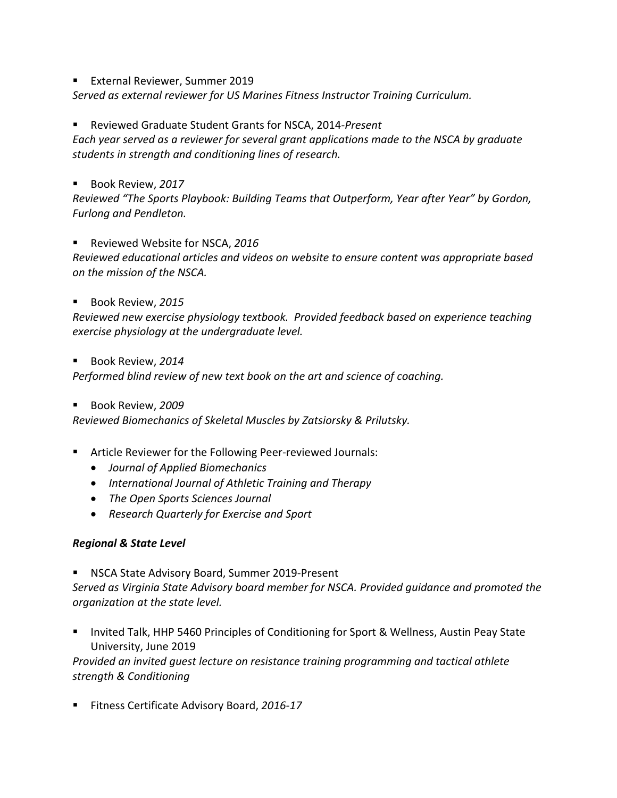§ External Reviewer, Summer 2019

*Served as external reviewer for US Marines Fitness Instructor Training Curriculum.* 

§ Reviewed Graduate Student Grants for NSCA, 2014*-Present Each year served as a reviewer for several grant applications made to the NSCA by graduate students in strength and conditioning lines of research.*

■ Book Review, 2017

*Reviewed "The Sports Playbook: Building Teams that Outperform, Year after Year" by Gordon, Furlong and Pendleton.*

§ Reviewed Website for NSCA, *2016*

*Reviewed educational articles and videos on website to ensure content was appropriate based on the mission of the NSCA.*

§ Book Review, *2015*

*Reviewed new exercise physiology textbook. Provided feedback based on experience teaching exercise physiology at the undergraduate level.*

§ Book Review, *2014*

*Performed blind review of new text book on the art and science of coaching.* 

■ Book Review, 2009

*Reviewed Biomechanics of Skeletal Muscles by Zatsiorsky & Prilutsky.*

- Article Reviewer for the Following Peer-reviewed Journals:
	- *Journal of Applied Biomechanics*
	- *International Journal of Athletic Training and Therapy*
	- *The Open Sports Sciences Journal*
	- *Research Quarterly for Exercise and Sport*

## *Regional & State Level*

§ NSCA State Advisory Board, Summer 2019-Present *Served as Virginia State Advisory board member for NSCA. Provided guidance and promoted the organization at the state level.*

■ Invited Talk, HHP 5460 Principles of Conditioning for Sport & Wellness, Austin Peay State University, June 2019

*Provided an invited guest lecture on resistance training programming and tactical athlete strength & Conditioning*

■ Fitness Certificate Advisory Board, 2016-17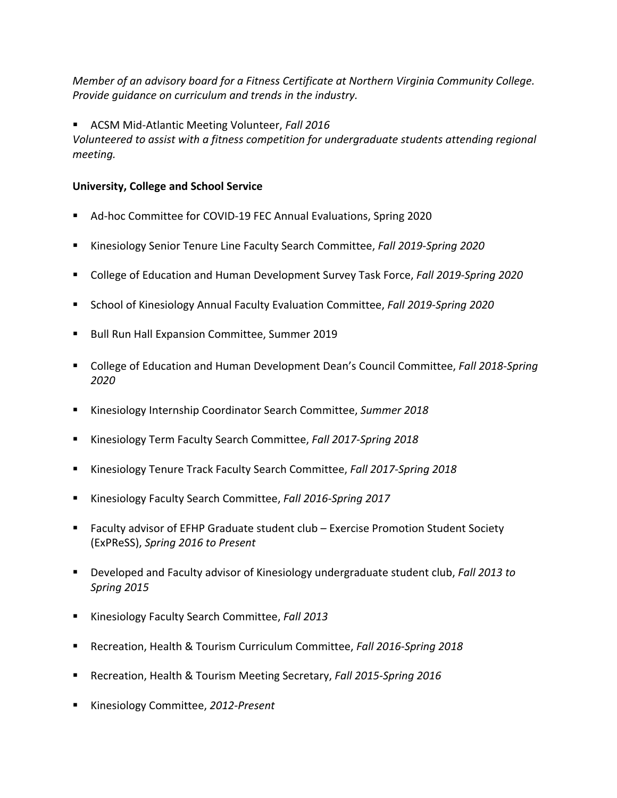*Member of an advisory board for a Fitness Certificate at Northern Virginia Community College. Provide guidance on curriculum and trends in the industry.*

§ ACSM Mid-Atlantic Meeting Volunteer, *Fall 2016*

*Volunteered to assist with a fitness competition for undergraduate students attending regional meeting.*

## **University, College and School Service**

- § Ad-hoc Committee for COVID-19 FEC Annual Evaluations, Spring 2020
- § Kinesiology Senior Tenure Line Faculty Search Committee, *Fall 2019-Spring 2020*
- College of Education and Human Development Survey Task Force, *Fall 2019-Spring 2020*
- School of Kinesiology Annual Faculty Evaluation Committee, *Fall 2019-Spring 2020*
- Bull Run Hall Expansion Committee, Summer 2019
- College of Education and Human Development Dean's Council Committee, *Fall 2018-Spring 2020*
- § Kinesiology Internship Coordinator Search Committee, *Summer 2018*
- § Kinesiology Term Faculty Search Committee, *Fall 2017-Spring 2018*
- § Kinesiology Tenure Track Faculty Search Committee, *Fall 2017-Spring 2018*
- § Kinesiology Faculty Search Committee, *Fall 2016-Spring 2017*
- Faculty advisor of EFHP Graduate student club Exercise Promotion Student Society (ExPReSS), *Spring 2016 to Present*
- § Developed and Faculty advisor of Kinesiology undergraduate student club, *Fall 2013 to Spring 2015*
- § Kinesiology Faculty Search Committee, *Fall 2013*
- § Recreation, Health & Tourism Curriculum Committee, *Fall 2016-Spring 2018*
- Recreation, Health & Tourism Meeting Secretary, *Fall 2015-Spring 2016*
- Kinesiology Committee, 2012-Present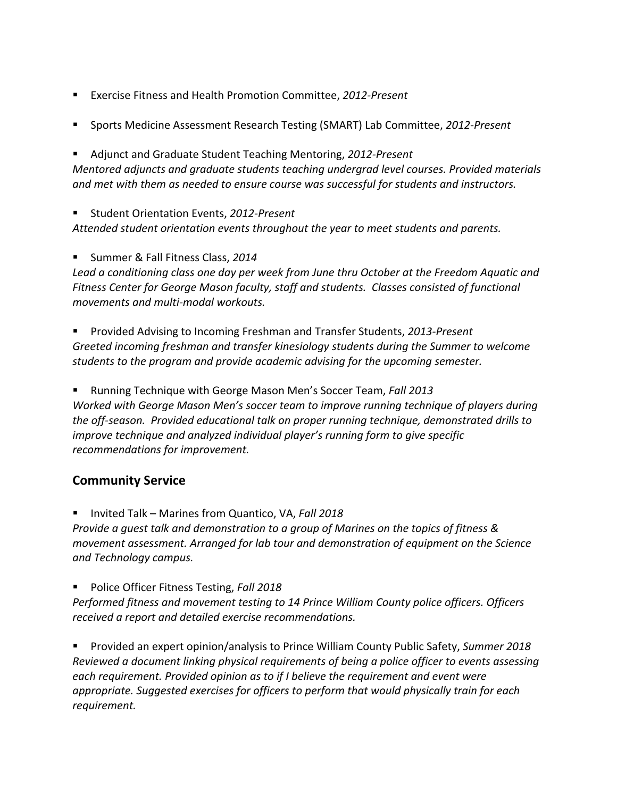- Exercise Fitness and Health Promotion Committee, 2012-Present
- Sports Medicine Assessment Research Testing (SMART) Lab Committee, 2012-Present

§ Adjunct and Graduate Student Teaching Mentoring, *2012-Present Mentored adjuncts and graduate students teaching undergrad level courses. Provided materials and met with them as needed to ensure course was successful for students and instructors.*

§ Student Orientation Events, *2012-Present Attended student orientation events throughout the year to meet students and parents.*

§ Summer & Fall Fitness Class, *2014*

*Lead a conditioning class one day per week from June thru October at the Freedom Aquatic and Fitness Center for George Mason faculty, staff and students. Classes consisted of functional movements and multi-modal workouts.*

■ Provided Advising to Incoming Freshman and Transfer Students, 2013-Present *Greeted incoming freshman and transfer kinesiology students during the Summer to welcome students to the program and provide academic advising for the upcoming semester.*

§ Running Technique with George Mason Men's Soccer Team, *Fall 2013 Worked with George Mason Men's soccer team to improve running technique of players during the off-season. Provided educational talk on proper running technique, demonstrated drills to improve technique and analyzed individual player's running form to give specific recommendations for improvement.*

# **Community Service**

■ Invited Talk – Marines from Quantico, VA, *Fall 2018 Provide a guest talk and demonstration to a group of Marines on the topics of fitness & movement assessment. Arranged for lab tour and demonstration of equipment on the Science and Technology campus.*

■ Police Officer Fitness Testing, Fall 2018

*Performed fitness and movement testing to 14 Prince William County police officers. Officers received a report and detailed exercise recommendations.* 

§ Provided an expert opinion/analysis to Prince William County Public Safety, *Summer 2018 Reviewed a document linking physical requirements of being a police officer to events assessing each requirement. Provided opinion as to if I believe the requirement and event were appropriate. Suggested exercises for officers to perform that would physically train for each requirement.*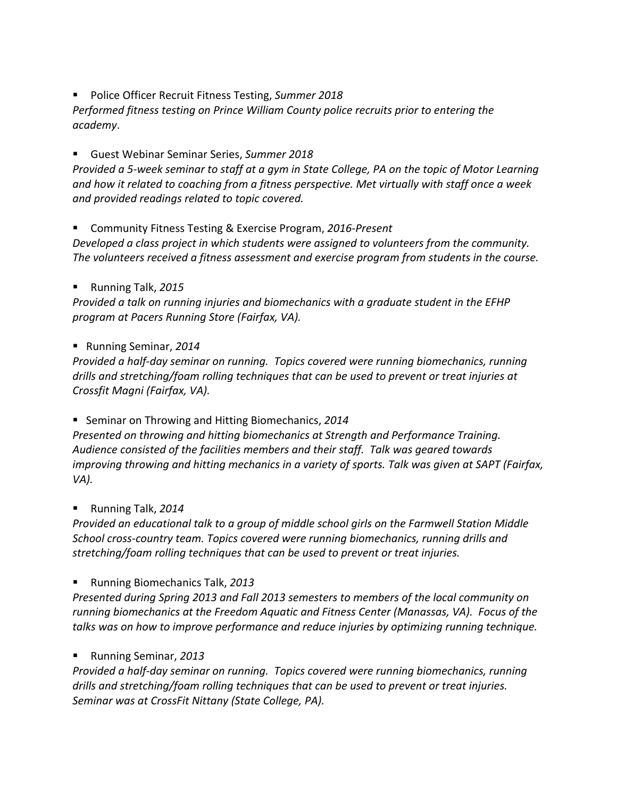■ Police Officer Recruit Fitness Testing, Summer 2018

*Performed fitness testing on Prince William County police recruits prior to entering the academy*.

§ Guest Webinar Seminar Series, *Summer 2018*

*Provided a 5-week seminar to staff at a gym in State College, PA on the topic of Motor Learning and how it related to coaching from a fitness perspective. Met virtually with staff once a week and provided readings related to topic covered.*

■ Community Fitness Testing & Exercise Program, 2016-Present

*Developed a class project in which students were assigned to volunteers from the community. The volunteers received a fitness assessment and exercise program from students in the course.*

§ Running Talk, *2015*

*Provided a talk on running injuries and biomechanics with a graduate student in the EFHP program at Pacers Running Store (Fairfax, VA).* 

§ Running Seminar, *2014* 

*Provided a half-day seminar on running. Topics covered were running biomechanics, running drills and stretching/foam rolling techniques that can be used to prevent or treat injuries at Crossfit Magni (Fairfax, VA).*

■ Seminar on Throwing and Hitting Biomechanics, 2014

*Presented on throwing and hitting biomechanics at Strength and Performance Training. Audience consisted of the facilities members and their staff. Talk was geared towards improving throwing and hitting mechanics in a variety of sports. Talk was given at SAPT (Fairfax, VA).*

§ Running Talk, *2014*

*Provided an educational talk to a group of middle school girls on the Farmwell Station Middle School cross-country team. Topics covered were running biomechanics, running drills and stretching/foam rolling techniques that can be used to prevent or treat injuries.*

§ Running Biomechanics Talk, *2013*

*Presented during Spring 2013 and Fall 2013 semesters to members of the local community on running biomechanics at the Freedom Aquatic and Fitness Center (Manassas, VA). Focus of the talks was on how to improve performance and reduce injuries by optimizing running technique.* 

## § Running Seminar, *2013*

*Provided a half-day seminar on running. Topics covered were running biomechanics, running drills and stretching/foam rolling techniques that can be used to prevent or treat injuries. Seminar was at CrossFit Nittany (State College, PA).*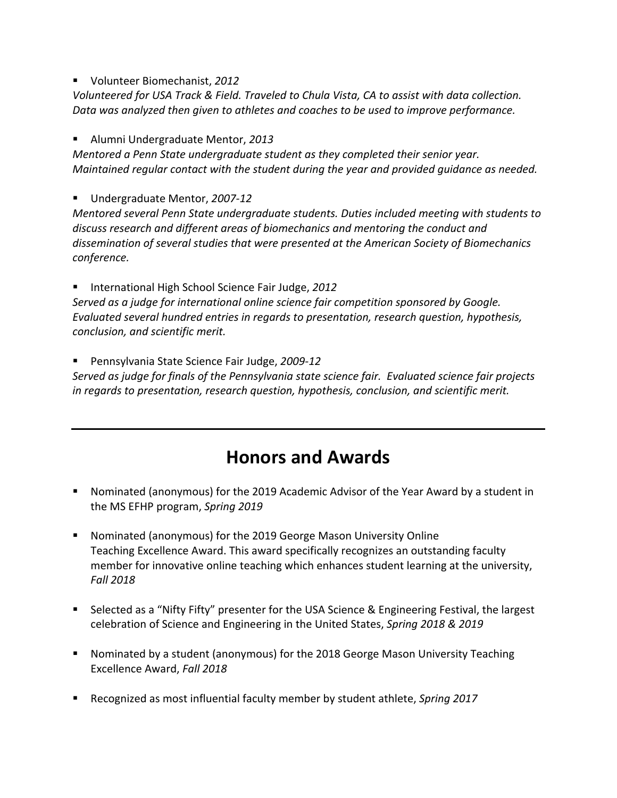§ Volunteer Biomechanist, *2012*

*Volunteered for USA Track & Field. Traveled to Chula Vista, CA to assist with data collection. Data was analyzed then given to athletes and coaches to be used to improve performance.* 

§ Alumni Undergraduate Mentor, *2013*

*Mentored a Penn State undergraduate student as they completed their senior year. Maintained regular contact with the student during the year and provided guidance as needed.*

§ Undergraduate Mentor, *2007-12*

*Mentored several Penn State undergraduate students. Duties included meeting with students to discuss research and different areas of biomechanics and mentoring the conduct and dissemination of several studies that were presented at the American Society of Biomechanics conference.*

§ International High School Science Fair Judge, *2012*

*Served as a judge for international online science fair competition sponsored by Google. Evaluated several hundred entries in regards to presentation, research question, hypothesis, conclusion, and scientific merit.*

§ Pennsylvania State Science Fair Judge, *2009-12*

*Served as judge for finals of the Pennsylvania state science fair. Evaluated science fair projects in regards to presentation, research question, hypothesis, conclusion, and scientific merit.*

# **Honors and Awards**

- Nominated (anonymous) for the 2019 Academic Advisor of the Year Award by a student in the MS EFHP program, *Spring 2019*
- Nominated (anonymous) for the 2019 George Mason University Online Teaching Excellence Award. This award specifically recognizes an outstanding faculty member for innovative online teaching which enhances student learning at the university, *Fall 2018*
- Selected as a "Nifty Fifty" presenter for the USA Science & Engineering Festival, the largest celebration of Science and Engineering in the United States, *Spring 2018 & 2019*
- Nominated by a student (anonymous) for the 2018 George Mason University Teaching Excellence Award, *Fall 2018*
- § Recognized as most influential faculty member by student athlete, *Spring 2017*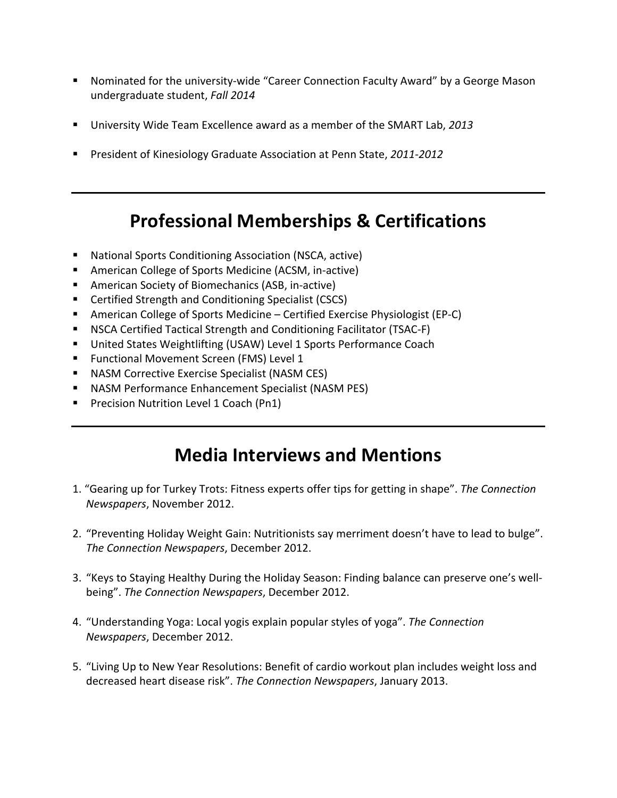- Nominated for the university-wide "Career Connection Faculty Award" by a George Mason undergraduate student, *Fall 2014*
- § University Wide Team Excellence award as a member of the SMART Lab, *2013*
- President of Kinesiology Graduate Association at Penn State, 2011-2012

# **Professional Memberships & Certifications**

- National Sports Conditioning Association (NSCA, active)
- American College of Sports Medicine (ACSM, in-active)
- American Society of Biomechanics (ASB, in-active)
- Certified Strength and Conditioning Specialist (CSCS)
- American College of Sports Medicine Certified Exercise Physiologist (EP-C)
- NSCA Certified Tactical Strength and Conditioning Facilitator (TSAC-F)
- United States Weightlifting (USAW) Level 1 Sports Performance Coach
- Functional Movement Screen (FMS) Level 1
- NASM Corrective Exercise Specialist (NASM CES)
- NASM Performance Enhancement Specialist (NASM PES)
- Precision Nutrition Level 1 Coach (Pn1)

# **Media Interviews and Mentions**

- 1. "Gearing up for Turkey Trots: Fitness experts offer tips for getting in shape". *The Connection Newspapers*, November 2012.
- 2. "Preventing Holiday Weight Gain: Nutritionists say merriment doesn't have to lead to bulge". *The Connection Newspapers*, December 2012.
- 3. "Keys to Staying Healthy During the Holiday Season: Finding balance can preserve one's wellbeing". *The Connection Newspapers*, December 2012.
- 4. "Understanding Yoga: Local yogis explain popular styles of yoga". *The Connection Newspapers*, December 2012.
- 5. "Living Up to New Year Resolutions: Benefit of cardio workout plan includes weight loss and decreased heart disease risk". *The Connection Newspapers*, January 2013.